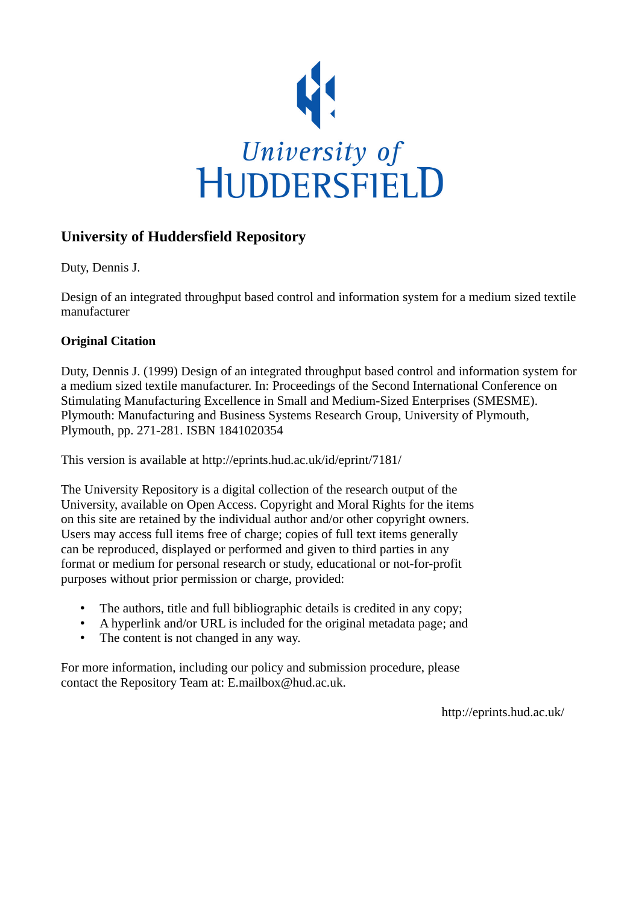

# **University of Huddersfield Repository**

Duty, Dennis J.

Design of an integrated throughput based control and information system for a medium sized textile manufacturer

## **Original Citation**

Duty, Dennis J. (1999) Design of an integrated throughput based control and information system for a medium sized textile manufacturer. In: Proceedings of the Second International Conference on Stimulating Manufacturing Excellence in Small and Medium-Sized Enterprises (SMESME). Plymouth: Manufacturing and Business Systems Research Group, University of Plymouth, Plymouth, pp. 271-281. ISBN 1841020354

This version is available at http://eprints.hud.ac.uk/id/eprint/7181/

The University Repository is a digital collection of the research output of the University, available on Open Access. Copyright and Moral Rights for the items on this site are retained by the individual author and/or other copyright owners. Users may access full items free of charge; copies of full text items generally can be reproduced, displayed or performed and given to third parties in any format or medium for personal research or study, educational or not-for-profit purposes without prior permission or charge, provided:

- The authors, title and full bibliographic details is credited in any copy;
- A hyperlink and/or URL is included for the original metadata page; and
- The content is not changed in any way.

For more information, including our policy and submission procedure, please contact the Repository Team at: E.mailbox@hud.ac.uk.

http://eprints.hud.ac.uk/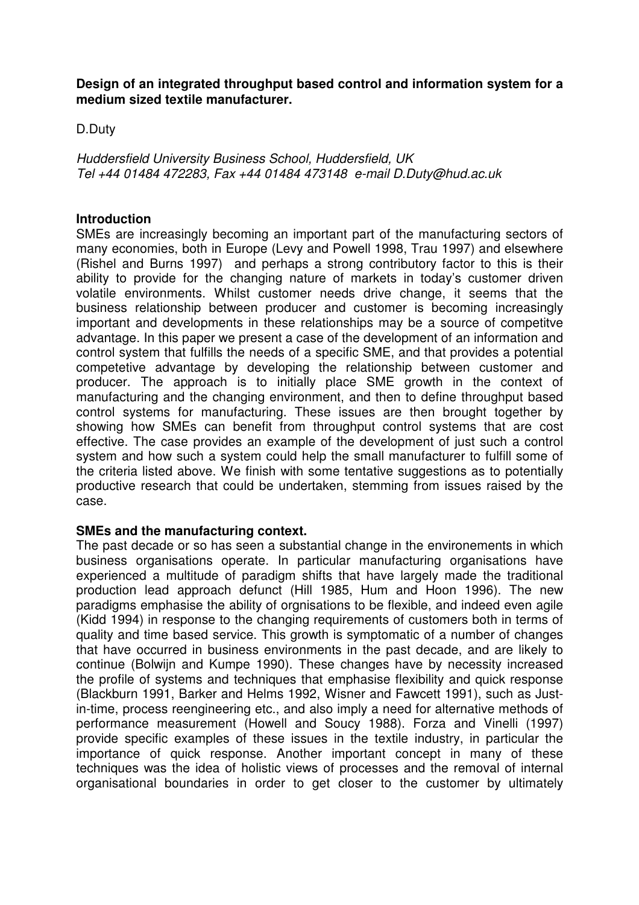**Design of an integrated throughput based control and information system for a medium sized textile manufacturer.**

D.Duty

Huddersfield University Business School, Huddersfield, UK Tel +44 01484 472283, Fax +44 01484 473148 e-mail D.Duty@hud.ac.uk

#### **Introduction**

SMEs are increasingly becoming an important part of the manufacturing sectors of many economies, both in Europe (Levy and Powell 1998, Trau 1997) and elsewhere (Rishel and Burns 1997) and perhaps a strong contributory factor to this is their ability to provide for the changing nature of markets in today's customer driven volatile environments. Whilst customer needs drive change, it seems that the business relationship between producer and customer is becoming increasingly important and developments in these relationships may be a source of competitve advantage. In this paper we present a case of the development of an information and control system that fulfills the needs of a specific SME, and that provides a potential competetive advantage by developing the relationship between customer and producer. The approach is to initially place SME growth in the context of manufacturing and the changing environment, and then to define throughput based control systems for manufacturing. These issues are then brought together by showing how SMEs can benefit from throughput control systems that are cost effective. The case provides an example of the development of just such a control system and how such a system could help the small manufacturer to fulfill some of the criteria listed above. We finish with some tentative suggestions as to potentially productive research that could be undertaken, stemming from issues raised by the case.

## **SMEs and the manufacturing context.**

The past decade or so has seen a substantial change in the environements in which business organisations operate. In particular manufacturing organisations have experienced a multitude of paradigm shifts that have largely made the traditional production lead approach defunct (Hill 1985, Hum and Hoon 1996). The new paradigms emphasise the ability of orgnisations to be flexible, and indeed even agile (Kidd 1994) in response to the changing requirements of customers both in terms of quality and time based service. This growth is symptomatic of a number of changes that have occurred in business environments in the past decade, and are likely to continue (Bolwijn and Kumpe 1990). These changes have by necessity increased the profile of systems and techniques that emphasise flexibility and quick response (Blackburn 1991, Barker and Helms 1992, Wisner and Fawcett 1991), such as Justin-time, process reengineering etc., and also imply a need for alternative methods of performance measurement (Howell and Soucy 1988). Forza and Vinelli (1997) provide specific examples of these issues in the textile industry, in particular the importance of quick response. Another important concept in many of these techniques was the idea of holistic views of processes and the removal of internal organisational boundaries in order to get closer to the customer by ultimately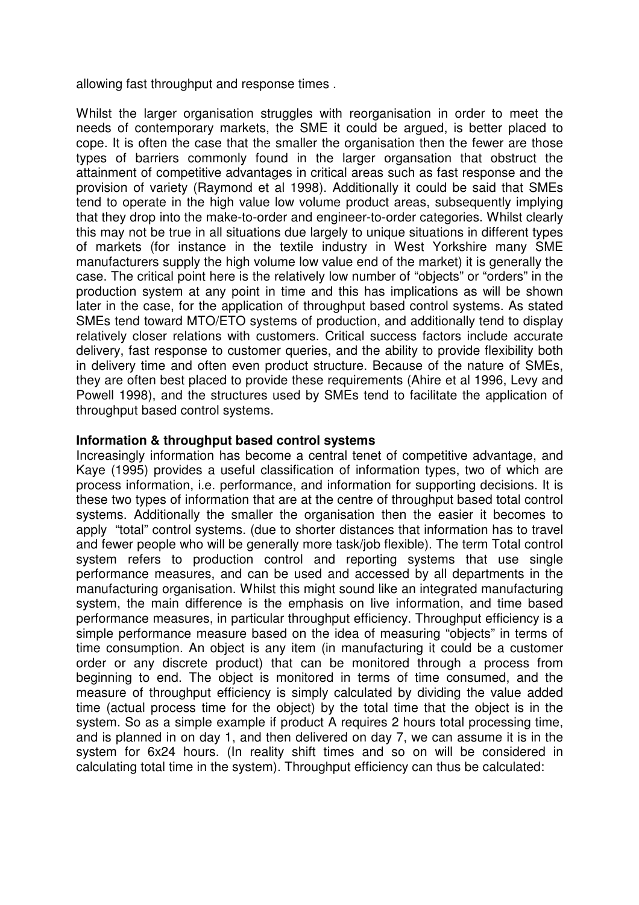allowing fast throughput and response times .

Whilst the larger organisation struggles with reorganisation in order to meet the needs of contemporary markets, the SME it could be argued, is better placed to cope. It is often the case that the smaller the organisation then the fewer are those types of barriers commonly found in the larger organsation that obstruct the attainment of competitive advantages in critical areas such as fast response and the provision of variety (Raymond et al 1998). Additionally it could be said that SMEs tend to operate in the high value low volume product areas, subsequently implying that they drop into the make-to-order and engineer-to-order categories. Whilst clearly this may not be true in all situations due largely to unique situations in different types of markets (for instance in the textile industry in West Yorkshire many SME manufacturers supply the high volume low value end of the market) it is generally the case. The critical point here is the relatively low number of "objects" or "orders" in the production system at any point in time and this has implications as will be shown later in the case, for the application of throughput based control systems. As stated SMEs tend toward MTO/ETO systems of production, and additionally tend to display relatively closer relations with customers. Critical success factors include accurate delivery, fast response to customer queries, and the ability to provide flexibility both in delivery time and often even product structure. Because of the nature of SMEs, they are often best placed to provide these requirements (Ahire et al 1996, Levy and Powell 1998), and the structures used by SMEs tend to facilitate the application of throughput based control systems.

## **Information & throughput based control systems**

Increasingly information has become a central tenet of competitive advantage, and Kaye (1995) provides a useful classification of information types, two of which are process information, i.e. performance, and information for supporting decisions. It is these two types of information that are at the centre of throughput based total control systems. Additionally the smaller the organisation then the easier it becomes to apply "total" control systems. (due to shorter distances that information has to travel and fewer people who will be generally more task/job flexible). The term Total control system refers to production control and reporting systems that use single performance measures, and can be used and accessed by all departments in the manufacturing organisation. Whilst this might sound like an integrated manufacturing system, the main difference is the emphasis on live information, and time based performance measures, in particular throughput efficiency. Throughput efficiency is a simple performance measure based on the idea of measuring "objects" in terms of time consumption. An object is any item (in manufacturing it could be a customer order or any discrete product) that can be monitored through a process from beginning to end. The object is monitored in terms of time consumed, and the measure of throughput efficiency is simply calculated by dividing the value added time (actual process time for the object) by the total time that the object is in the system. So as a simple example if product A requires 2 hours total processing time, and is planned in on day 1, and then delivered on day 7, we can assume it is in the system for 6x24 hours. (In reality shift times and so on will be considered in calculating total time in the system). Throughput efficiency can thus be calculated: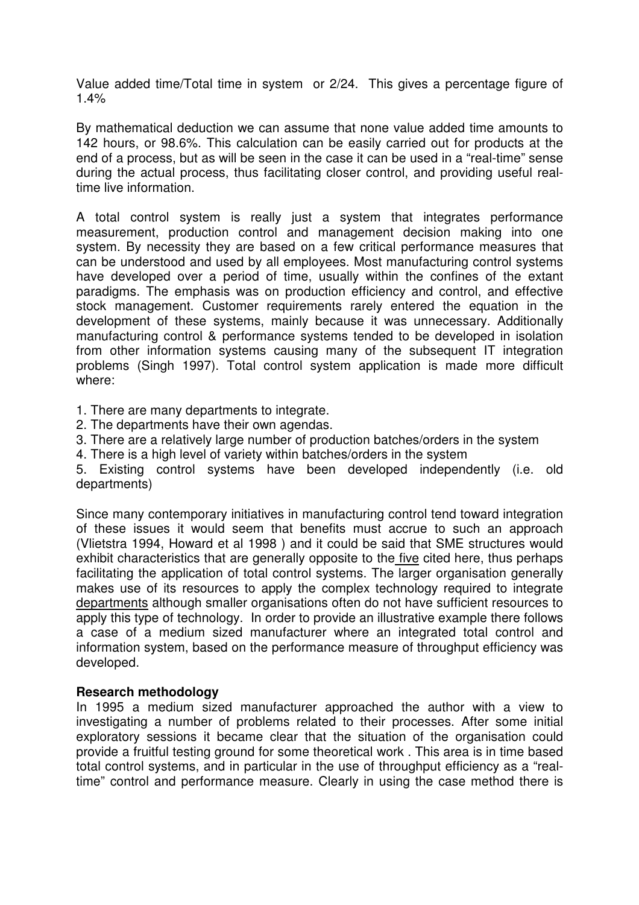Value added time/Total time in system or 2/24. This gives a percentage figure of 1.4%

By mathematical deduction we can assume that none value added time amounts to 142 hours, or 98.6%. This calculation can be easily carried out for products at the end of a process, but as will be seen in the case it can be used in a "real-time" sense during the actual process, thus facilitating closer control, and providing useful realtime live information.

A total control system is really just a system that integrates performance measurement, production control and management decision making into one system. By necessity they are based on a few critical performance measures that can be understood and used by all employees. Most manufacturing control systems have developed over a period of time, usually within the confines of the extant paradigms. The emphasis was on production efficiency and control, and effective stock management. Customer requirements rarely entered the equation in the development of these systems, mainly because it was unnecessary. Additionally manufacturing control & performance systems tended to be developed in isolation from other information systems causing many of the subsequent IT integration problems (Singh 1997). Total control system application is made more difficult where:

1. There are many departments to integrate.

- 2. The departments have their own agendas.
- 3. There are a relatively large number of production batches/orders in the system
- 4. There is a high level of variety within batches/orders in the system

5. Existing control systems have been developed independently (i.e. old departments)

Since many contemporary initiatives in manufacturing control tend toward integration of these issues it would seem that benefits must accrue to such an approach (Vlietstra 1994, Howard et al 1998 ) and it could be said that SME structures would exhibit characteristics that are generally opposite to the five cited here, thus perhaps facilitating the application of total control systems. The larger organisation generally makes use of its resources to apply the complex technology required to integrate departments although smaller organisations often do not have sufficient resources to apply this type of technology. In order to provide an illustrative example there follows a case of a medium sized manufacturer where an integrated total control and information system, based on the performance measure of throughput efficiency was developed.

## **Research methodology**

In 1995 a medium sized manufacturer approached the author with a view to investigating a number of problems related to their processes. After some initial exploratory sessions it became clear that the situation of the organisation could provide a fruitful testing ground for some theoretical work . This area is in time based total control systems, and in particular in the use of throughput efficiency as a "realtime" control and performance measure. Clearly in using the case method there is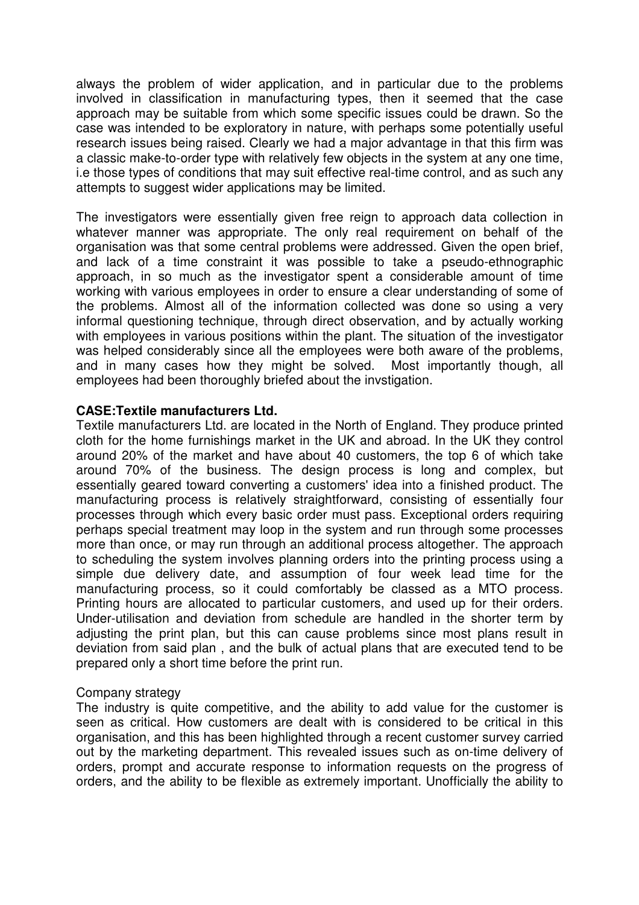always the problem of wider application, and in particular due to the problems involved in classification in manufacturing types, then it seemed that the case approach may be suitable from which some specific issues could be drawn. So the case was intended to be exploratory in nature, with perhaps some potentially useful research issues being raised. Clearly we had a major advantage in that this firm was a classic make-to-order type with relatively few objects in the system at any one time, i.e those types of conditions that may suit effective real-time control, and as such any attempts to suggest wider applications may be limited.

The investigators were essentially given free reign to approach data collection in whatever manner was appropriate. The only real requirement on behalf of the organisation was that some central problems were addressed. Given the open brief, and lack of a time constraint it was possible to take a pseudo-ethnographic approach, in so much as the investigator spent a considerable amount of time working with various employees in order to ensure a clear understanding of some of the problems. Almost all of the information collected was done so using a very informal questioning technique, through direct observation, and by actually working with employees in various positions within the plant. The situation of the investigator was helped considerably since all the employees were both aware of the problems, and in many cases how they might be solved. Most importantly though, all employees had been thoroughly briefed about the invstigation.

## **CASE:Textile manufacturers Ltd.**

Textile manufacturers Ltd. are located in the North of England. They produce printed cloth for the home furnishings market in the UK and abroad. In the UK they control around 20% of the market and have about 40 customers, the top 6 of which take around 70% of the business. The design process is long and complex, but essentially geared toward converting a customers' idea into a finished product. The manufacturing process is relatively straightforward, consisting of essentially four processes through which every basic order must pass. Exceptional orders requiring perhaps special treatment may loop in the system and run through some processes more than once, or may run through an additional process altogether. The approach to scheduling the system involves planning orders into the printing process using a simple due delivery date, and assumption of four week lead time for the manufacturing process, so it could comfortably be classed as a MTO process. Printing hours are allocated to particular customers, and used up for their orders. Under-utilisation and deviation from schedule are handled in the shorter term by adjusting the print plan, but this can cause problems since most plans result in deviation from said plan , and the bulk of actual plans that are executed tend to be prepared only a short time before the print run.

## Company strategy

The industry is quite competitive, and the ability to add value for the customer is seen as critical. How customers are dealt with is considered to be critical in this organisation, and this has been highlighted through a recent customer survey carried out by the marketing department. This revealed issues such as on-time delivery of orders, prompt and accurate response to information requests on the progress of orders, and the ability to be flexible as extremely important. Unofficially the ability to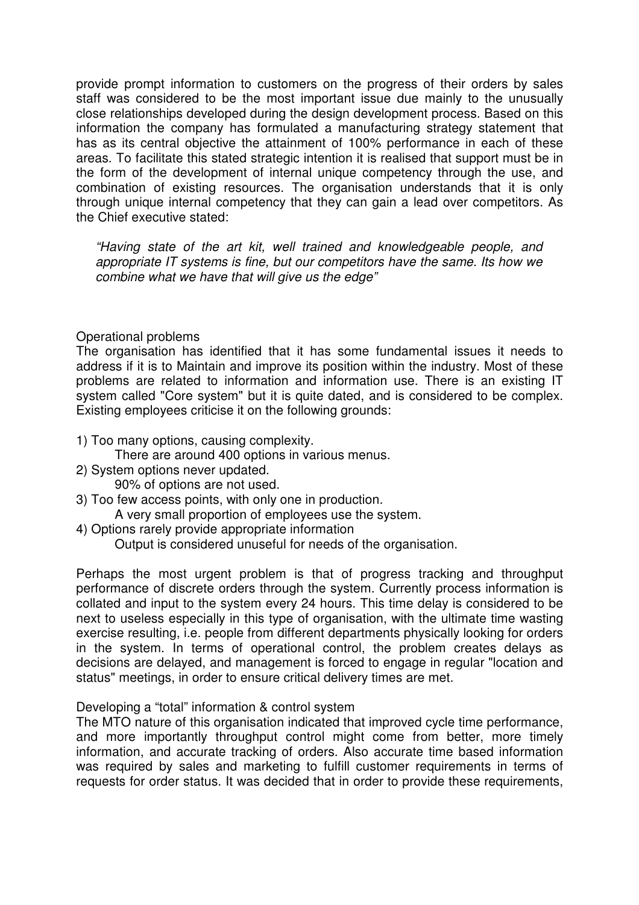provide prompt information to customers on the progress of their orders by sales staff was considered to be the most important issue due mainly to the unusually close relationships developed during the design development process. Based on this information the company has formulated a manufacturing strategy statement that has as its central objective the attainment of 100% performance in each of these areas. To facilitate this stated strategic intention it is realised that support must be in the form of the development of internal unique competency through the use, and combination of existing resources. The organisation understands that it is only through unique internal competency that they can gain a lead over competitors. As the Chief executive stated:

"Having state of the art kit, well trained and knowledgeable people, and appropriate IT systems is fine, but our competitors have the same. Its how we combine what we have that will give us the edge"

Operational problems

The organisation has identified that it has some fundamental issues it needs to address if it is to Maintain and improve its position within the industry. Most of these problems are related to information and information use. There is an existing IT system called "Core system" but it is quite dated, and is considered to be complex. Existing employees criticise it on the following grounds:

1) Too many options, causing complexity.

There are around 400 options in various menus.

- 2) System options never updated.
	- 90% of options are not used.
- 3) Too few access points, with only one in production.

A very small proportion of employees use the system.

4) Options rarely provide appropriate information

Output is considered unuseful for needs of the organisation.

Perhaps the most urgent problem is that of progress tracking and throughput performance of discrete orders through the system. Currently process information is collated and input to the system every 24 hours. This time delay is considered to be next to useless especially in this type of organisation, with the ultimate time wasting exercise resulting, i.e. people from different departments physically looking for orders in the system. In terms of operational control, the problem creates delays as decisions are delayed, and management is forced to engage in regular "location and status" meetings, in order to ensure critical delivery times are met.

## Developing a "total" information & control system

The MTO nature of this organisation indicated that improved cycle time performance, and more importantly throughput control might come from better, more timely information, and accurate tracking of orders. Also accurate time based information was required by sales and marketing to fulfill customer requirements in terms of requests for order status. It was decided that in order to provide these requirements,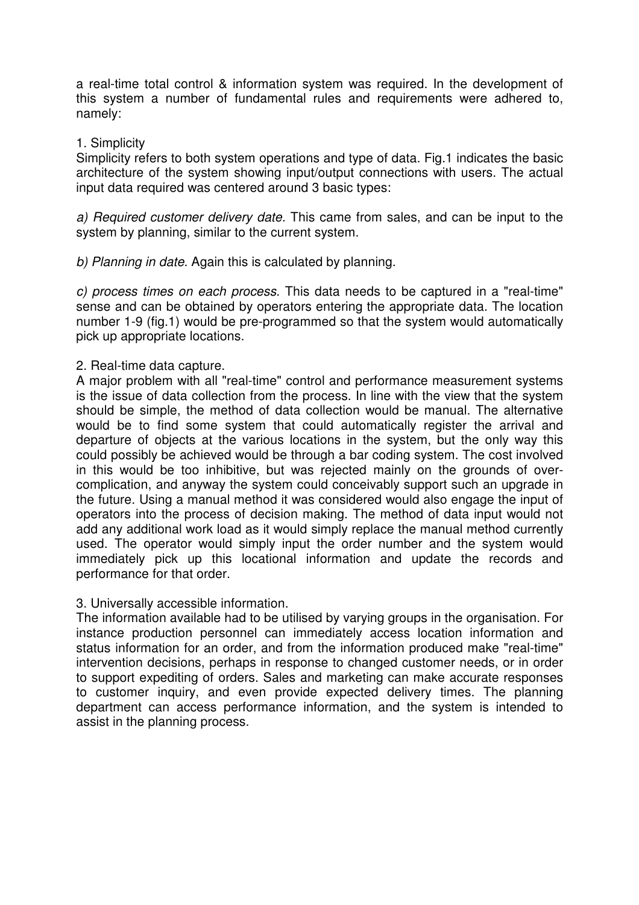a real-time total control & information system was required. In the development of this system a number of fundamental rules and requirements were adhered to, namely:

#### 1. Simplicity

Simplicity refers to both system operations and type of data. Fig.1 indicates the basic architecture of the system showing input/output connections with users. The actual input data required was centered around 3 basic types:

a) Required customer delivery date. This came from sales, and can be input to the system by planning, similar to the current system.

b) Planning in date. Again this is calculated by planning.

c) process times on each process. This data needs to be captured in a "real-time" sense and can be obtained by operators entering the appropriate data. The location number 1-9 (fig.1) would be pre-programmed so that the system would automatically pick up appropriate locations.

2. Real-time data capture.

A major problem with all "real-time" control and performance measurement systems is the issue of data collection from the process. In line with the view that the system should be simple, the method of data collection would be manual. The alternative would be to find some system that could automatically register the arrival and departure of objects at the various locations in the system, but the only way this could possibly be achieved would be through a bar coding system. The cost involved in this would be too inhibitive, but was rejected mainly on the grounds of overcomplication, and anyway the system could conceivably support such an upgrade in the future. Using a manual method it was considered would also engage the input of operators into the process of decision making. The method of data input would not add any additional work load as it would simply replace the manual method currently used. The operator would simply input the order number and the system would immediately pick up this locational information and update the records and performance for that order.

3. Universally accessible information.

The information available had to be utilised by varying groups in the organisation. For instance production personnel can immediately access location information and status information for an order, and from the information produced make "real-time" intervention decisions, perhaps in response to changed customer needs, or in order to support expediting of orders. Sales and marketing can make accurate responses to customer inquiry, and even provide expected delivery times. The planning department can access performance information, and the system is intended to assist in the planning process.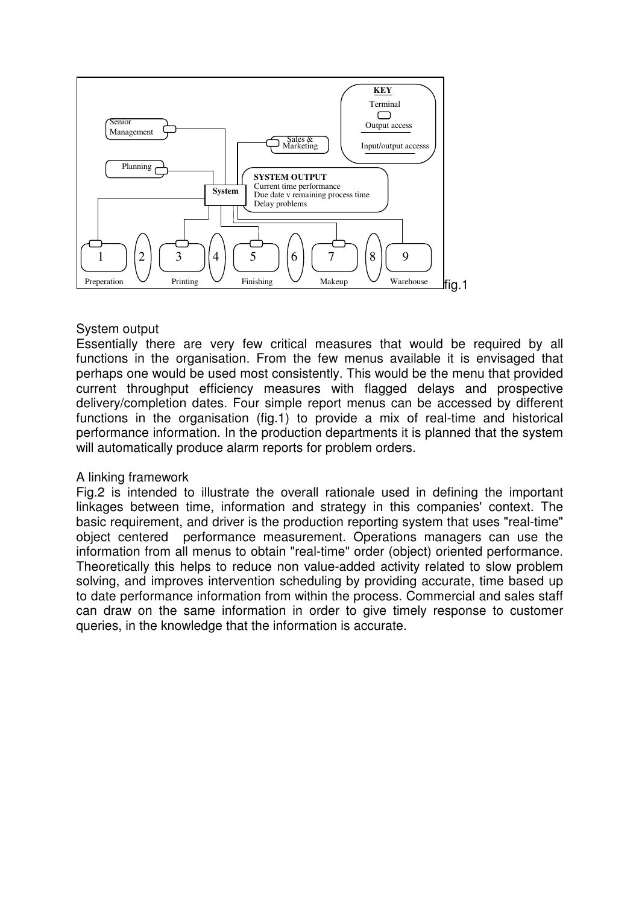

## System output

Essentially there are very few critical measures that would be required by all functions in the organisation. From the few menus available it is envisaged that perhaps one would be used most consistently. This would be the menu that provided current throughput efficiency measures with flagged delays and prospective delivery/completion dates. Four simple report menus can be accessed by different functions in the organisation (fig.1) to provide a mix of real-time and historical performance information. In the production departments it is planned that the system will automatically produce alarm reports for problem orders.

## A linking framework

Fig.2 is intended to illustrate the overall rationale used in defining the important linkages between time, information and strategy in this companies' context. The basic requirement, and driver is the production reporting system that uses "real-time" object centered performance measurement. Operations managers can use the information from all menus to obtain "real-time" order (object) oriented performance. Theoretically this helps to reduce non value-added activity related to slow problem solving, and improves intervention scheduling by providing accurate, time based up to date performance information from within the process. Commercial and sales staff can draw on the same information in order to give timely response to customer queries, in the knowledge that the information is accurate.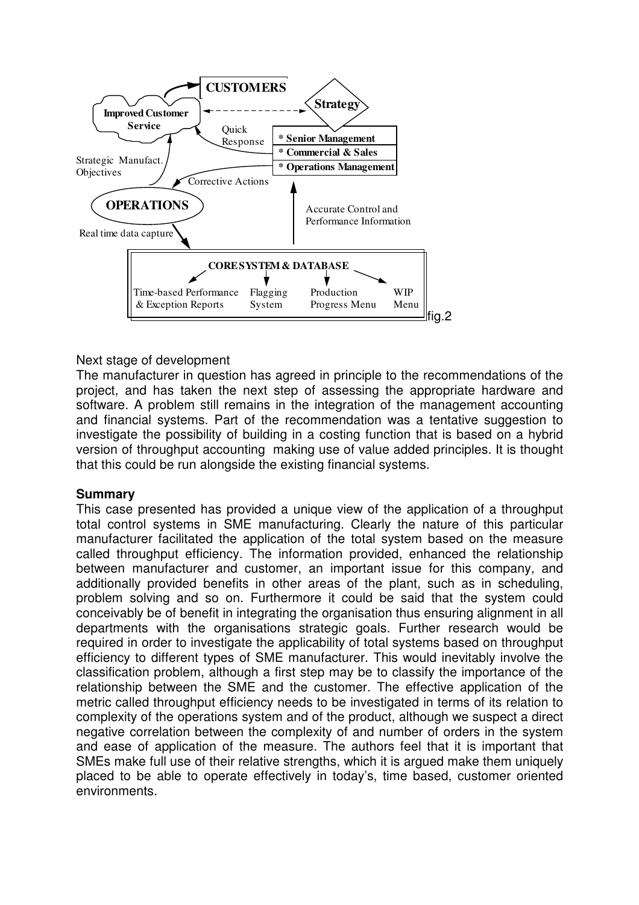

#### Next stage of development

The manufacturer in question has agreed in principle to the recommendations of the project, and has taken the next step of assessing the appropriate hardware and software. A problem still remains in the integration of the management accounting and financial systems. Part of the recommendation was a tentative suggestion to investigate the possibility of building in a costing function that is based on a hybrid version of throughput accounting making use of value added principles. It is thought that this could be run alongside the existing financial systems.

## **Summary**

This case presented has provided a unique view of the application of a throughput total control systems in SME manufacturing. Clearly the nature of this particular manufacturer facilitated the application of the total system based on the measure called throughput efficiency. The information provided, enhanced the relationship between manufacturer and customer, an important issue for this company, and additionally provided benefits in other areas of the plant, such as in scheduling, problem solving and so on. Furthermore it could be said that the system could conceivably be of benefit in integrating the organisation thus ensuring alignment in all departments with the organisations strategic goals. Further research would be required in order to investigate the applicability of total systems based on throughput efficiency to different types of SME manufacturer. This would inevitably involve the classification problem, although a first step may be to classify the importance of the relationship between the SME and the customer. The effective application of the metric called throughput efficiency needs to be investigated in terms of its relation to complexity of the operations system and of the product, although we suspect a direct negative correlation between the complexity of and number of orders in the system and ease of application of the measure. The authors feel that it is important that SMEs make full use of their relative strengths, which it is argued make them uniquely placed to be able to operate effectively in today's, time based, customer oriented environments.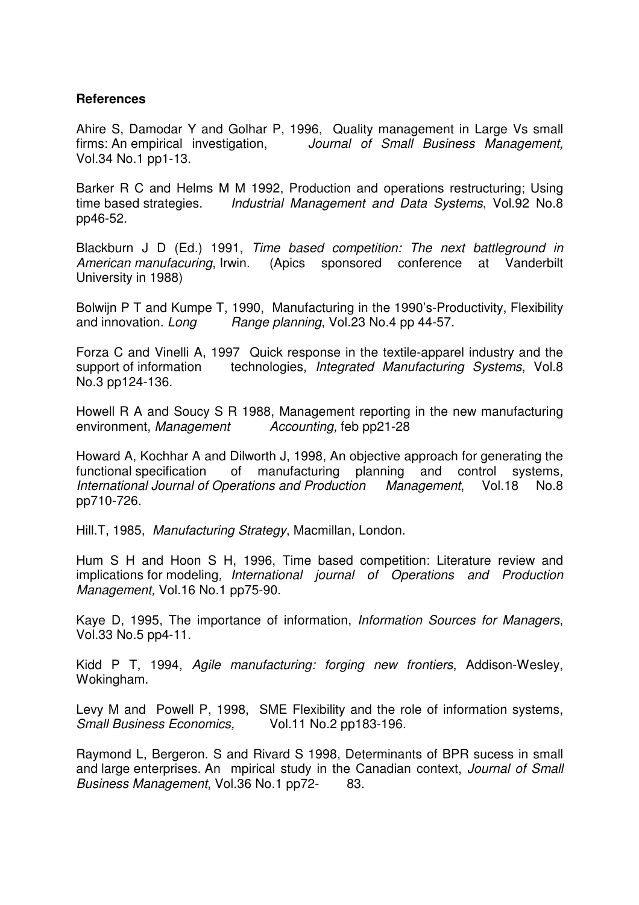## **References**

Ahire S, Damodar Y and Golhar P, 1996, Quality management in Large Vs small firms: An empirical investigation, Journal of Small Business Management, Vol.34 No.1 pp1-13.

Barker R C and Helms M M 1992, Production and operations restructuring; Using time based strategies. Industrial Management and Data Systems, Vol.92 No.8 pp46-52.

Blackburn J D (Ed.) 1991, Time based competition: The next battleground in American manufacuring, Irwin. (Apics sponsored conference at Vanderbilt University in 1988)

Bolwijn P T and Kumpe T, 1990, Manufacturing in the 1990's-Productivity, Flexibility and innovation. Long Range planning, Vol.23 No.4 pp 44-57.

Forza C and Vinelli A, 1997 Quick response in the textile-apparel industry and the support of information technologies, Integrated Manufacturing Systems, Vol.8 No.3 pp124-136.

Howell R A and Soucy S R 1988, Management reporting in the new manufacturing environment, Management Accounting, feb pp21-28

Howard A, Kochhar A and Dilworth J, 1998, An objective approach for generating the functional specification of manufacturing planning and control systems, International Journal of Operations and Production Management, Vol.18 No.8 pp710-726.

Hill.T, 1985, Manufacturing Strategy, Macmillan, London.

Hum S H and Hoon S H, 1996, Time based competition: Literature review and implications for modeling, International journal of Operations and Production Management, Vol.16 No.1 pp75-90.

Kaye D, 1995, The importance of information, Information Sources for Managers, Vol.33 No.5 pp4-11.

Kidd P T, 1994, Agile manufacturing: forging new frontiers, Addison-Wesley, Wokingham.

Levy M and Powell P, 1998, SME Flexibility and the role of information systems, Small Business Economics, Vol.11 No.2 pp183-196.

Raymond L, Bergeron. S and Rivard S 1998, Determinants of BPR sucess in small and large enterprises. An mpirical study in the Canadian context, Journal of Small Business Management, Vol.36 No.1 pp72-83.